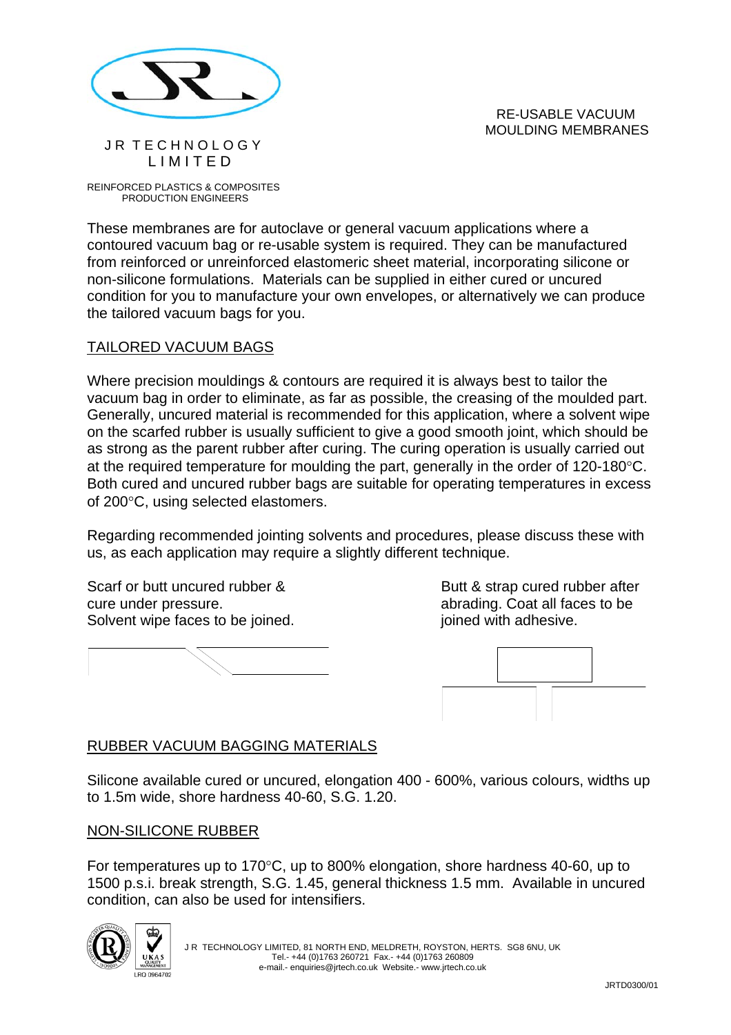

#### RE-USABLE VACUUM MOULDING MEMBRANES

REINFORCED PLASTICS & COMPOSITES PRODUCTION ENGINEERS

JR TFCHNOLOGY L I M I T E D

These membranes are for autoclave or general vacuum applications where a contoured vacuum bag or re-usable system is required. They can be manufactured from reinforced or unreinforced elastomeric sheet material, incorporating silicone or non-silicone formulations. Materials can be supplied in either cured or uncured condition for you to manufacture your own envelopes, or alternatively we can produce the tailored vacuum bags for you.

#### TAILORED VACUUM BAGS

Where precision mouldings & contours are required it is always best to tailor the vacuum bag in order to eliminate, as far as possible, the creasing of the moulded part. Generally, uncured material is recommended for this application, where a solvent wipe on the scarfed rubber is usually sufficient to give a good smooth joint, which should be as strong as the parent rubber after curing. The curing operation is usually carried out at the required temperature for moulding the part, generally in the order of 120-180°C. Both cured and uncured rubber bags are suitable for operating temperatures in excess of 200°C, using selected elastomers.

Regarding recommended jointing solvents and procedures, please discuss these with us, as each application may require a slightly different technique.

Scarf or butt uncured rubber & Butt & strap cured rubber after cure under pressure.  $\blacksquare$ Solvent wipe faces to be joined.  $\blacksquare$  joined with adhesive.





## RUBBER VACUUM BAGGING MATERIALS

Silicone available cured or uncured, elongation 400 - 600%, various colours, widths up to 1.5m wide, shore hardness 40-60, S.G. 1.20.

## NON-SILICONE RUBBER

For temperatures up to 170°C, up to 800% elongation, shore hardness 40-60, up to 1500 p.s.i. break strength, S.G. 1.45, general thickness 1.5 mm. Available in uncured condition, can also be used for intensifiers.